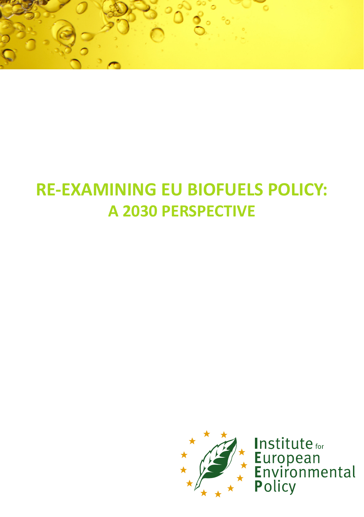

# **RE-EXAMINING EU BIOFUELS POLICY: A 2030 PERSPECTIVE**



**Institutefor<br>European<br>Environmental**<br>**Policy**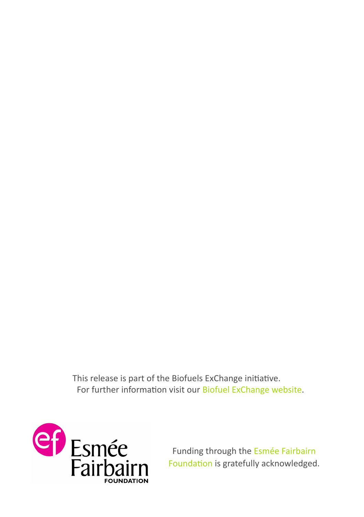This release is part of the Biofuels ExChange initiative. For further information visit our Biofuel ExChange website.



Funding through the [Esmée Fairbairn](http://esmeefairbairn.org.uk/)  [Foundation](http://esmeefairbairn.org.uk/) is gratefully acknowledged.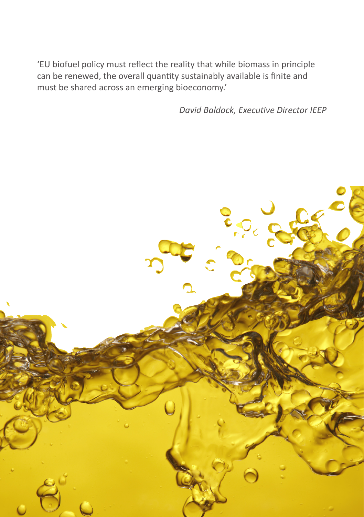'EU biofuel policy must reflect the reality that while biomass in principle can be renewed, the overall quantity sustainably available is finite and must be shared across an emerging bioeconomy.'

*David Baldock, Executive Director IEEP*

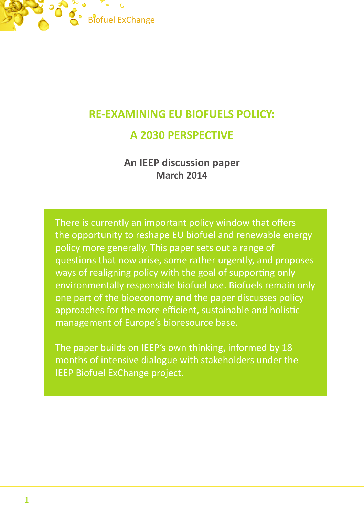

# **RE-EXAMINING EU BIOFUELS POLICY:**

# **A 2030 PERSPECTIVE**

**An IEEP discussion paper March 2014**

There is currently an important policy window that offers the opportunity to reshape EU biofuel and renewable energy policy more generally. This paper sets out a range of questions that now arise, some rather urgently, and proposes ways of realigning policy with the goal of supporting only environmentally responsible biofuel use. Biofuels remain only one part of the bioeconomy and the paper discusses policy approaches for the more efficient, sustainable and holistic management of Europe's bioresource base.

The paper builds on IEEP's own thinking, informed by 18 months of intensive dialogue with stakeholders under the IEEP Biofuel ExChange project.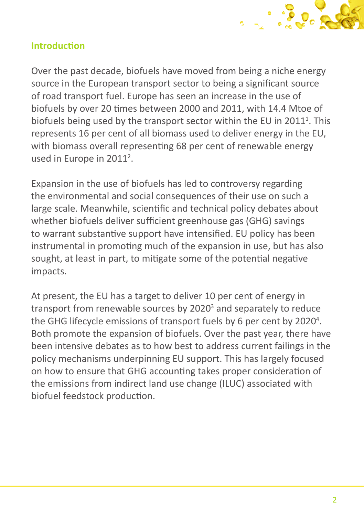

#### **Introduction**

Over the past decade, biofuels have moved from being a niche energy source in the European transport sector to being a significant source of road transport fuel. Europe has seen an increase in the use of biofuels by over 20 times between 2000 and 2011, with 14.4 Mtoe of biofuels being used by the transport sector within the EU in 2011<sup>1</sup>. This represents 16 per cent of all biomass used to deliver energy in the EU, with biomass overall representing 68 per cent of renewable energy used in Europe in 2011<sup>2</sup>.

Expansion in the use of biofuels has led to controversy regarding the environmental and social consequences of their use on such a large scale. Meanwhile, scientific and technical policy debates about whether biofuels deliver sufficient greenhouse gas (GHG) savings to warrant substantive support have intensified. EU policy has been instrumental in promoting much of the expansion in use, but has also sought, at least in part, to mitigate some of the potential negative impacts.

At present, the EU has a target to deliver 10 per cent of energy in transport from renewable sources by 2020<sup>3</sup> and separately to reduce the GHG lifecycle emissions of transport fuels by 6 per cent by 2020<sup>4</sup>. Both promote the expansion of biofuels. Over the past year, there have been intensive debates as to how best to address current failings in the policy mechanisms underpinning EU support. This has largely focused on how to ensure that GHG accounting takes proper consideration of the emissions from indirect land use change (ILUC) associated with biofuel feedstock production.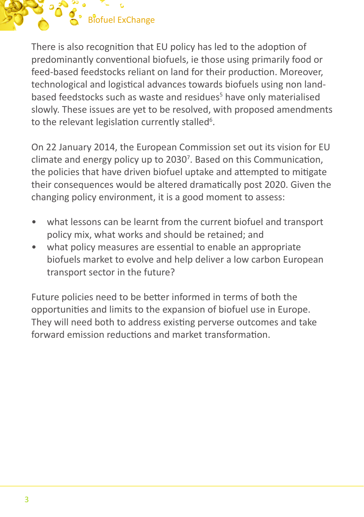

There is also recognition that EU policy has led to the adoption of predominantly conventional biofuels, ie those using primarily food or feed-based feedstocks reliant on land for their production. Moreover, technological and logistical advances towards biofuels using non landbased feedstocks such as waste and residues<sup>5</sup> have only materialised slowly. These issues are yet to be resolved, with proposed amendments to the relevant legislation currently stalled<sup>6</sup>.

On 22 January 2014, the European Commission set out its vision for EU climate and energy policy up to 2030<sup>7</sup> . Based on this Communication, the policies that have driven biofuel uptake and attempted to mitigate their consequences would be altered dramatically post 2020. Given the changing policy environment, it is a good moment to assess:

- what lessons can be learnt from the current biofuel and transport policy mix, what works and should be retained; and
- what policy measures are essential to enable an appropriate biofuels market to evolve and help deliver a low carbon European transport sector in the future?

Future policies need to be better informed in terms of both the opportunities and limits to the expansion of biofuel use in Europe. They will need both to address existing perverse outcomes and take forward emission reductions and market transformation.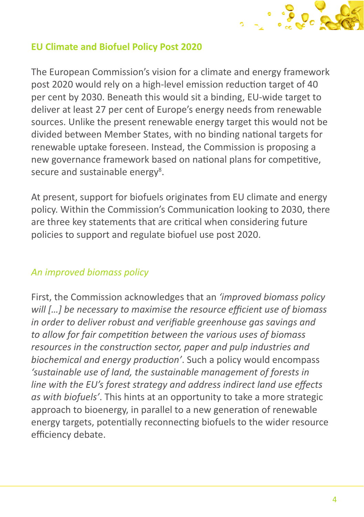

#### **EU Climate and Biofuel Policy Post 2020**

The European Commission's vision for a climate and energy framework post 2020 would rely on a high-level emission reduction target of 40 per cent by 2030. Beneath this would sit a binding, EU-wide target to deliver at least 27 per cent of Europe's energy needs from renewable sources. Unlike the present renewable energy target this would not be divided between Member States, with no binding national targets for renewable uptake foreseen. Instead, the Commission is proposing a new governance framework based on national plans for competitive, secure and sustainable energy<sup>8</sup>.

At present, support for biofuels originates from EU climate and energy policy. Within the Commission's Communication looking to 2030, there are three key statements that are critical when considering future policies to support and regulate biofuel use post 2020.

## *An improved biomass policy*

First, the Commission acknowledges that an *'improved biomass policy will […] be necessary to maximise the resource efficient use of biomass in order to deliver robust and verifiable greenhouse gas savings and to allow for fair competition between the various uses of biomass resources in the construction sector, paper and pulp industries and biochemical and energy production'*. Such a policy would encompass *'sustainable use of land, the sustainable management of forests in line with the EU's forest strategy and address indirect land use effects as with biofuels'*. This hints at an opportunity to take a more strategic approach to bioenergy, in parallel to a new generation of renewable energy targets, potentially reconnecting biofuels to the wider resource efficiency debate.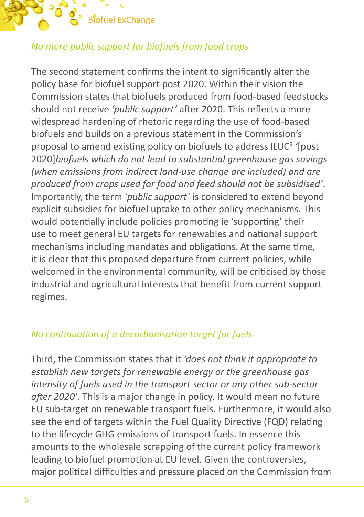

# *No more public support for biofuels from food crops*

The second statement confirms the intent to significantly alter the policy base for biofuel support post 2020. Within their vision the Commission states that biofuels produced from food-based feedstocks should not receive *'public support'* after 2020. This reflects a more widespread hardening of rhetoric regarding the use of food-based biofuels and builds on a previous statement in the Commission's proposal to amend existing policy on biofuels to address ILUC<sup>9</sup> *'*[post 2020]*biofuels which do not lead to substantial greenhouse gas savings (when emissions from indirect land-use change are included) and are produced from crops used for food and feed should not be subsidised'*. Importantly, the term *'public support'* is considered to extend beyond explicit subsidies for biofuel uptake to other policy mechanisms. This would potentially include policies promoting ie 'supporting' their use to meet general EU targets for renewables and national support mechanisms including mandates and obligations. At the same time, it is clear that this proposed departure from current policies, while welcomed in the environmental community, will be criticised by those industrial and agricultural interests that benefit from current support regimes.

## *No continuation of a decarbonisation target for fuels*

Third, the Commission states that it *'does not think it appropriate to establish new targets for renewable energy or the greenhouse gas intensity of fuels used in the transport sector or any other sub-sector after 2020'*. This is a major change in policy. It would mean no future EU sub-target on renewable transport fuels. Furthermore, it would also see the end of targets within the Fuel Quality Directive (FQD) relating to the lifecycle GHG emissions of transport fuels. In essence this amounts to the wholesale scrapping of the current policy framework leading to biofuel promotion at EU level. Given the controversies, major political difficulties and pressure placed on the Commission from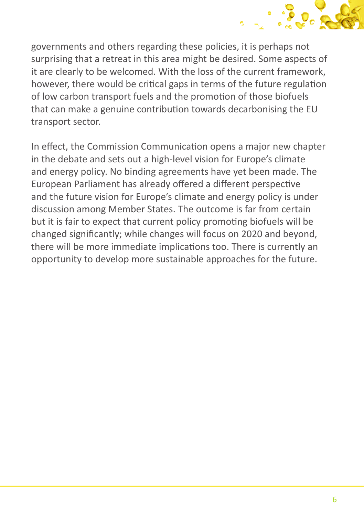

governments and others regarding these policies, it is perhaps not surprising that a retreat in this area might be desired. Some aspects of it are clearly to be welcomed. With the loss of the current framework, however, there would be critical gaps in terms of the future regulation of low carbon transport fuels and the promotion of those biofuels that can make a genuine contribution towards decarbonising the EU transport sector.

In effect, the Commission Communication opens a major new chapter in the debate and sets out a high-level vision for Europe's climate and energy policy. No binding agreements have yet been made. The European Parliament has already offered a different perspective and the future vision for Europe's climate and energy policy is under discussion among Member States. The outcome is far from certain but it is fair to expect that current policy promoting biofuels will be changed significantly; while changes will focus on 2020 and beyond, there will be more immediate implications too. There is currently an opportunity to develop more sustainable approaches for the future.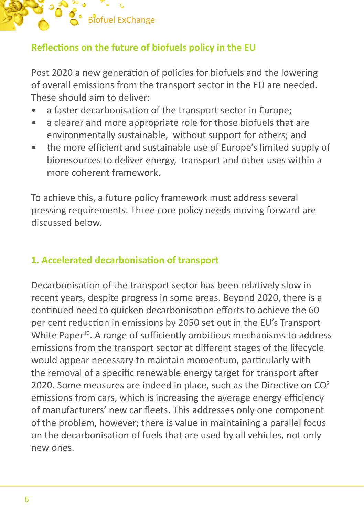

# **Reflections on the future of biofuels policy in the EU**

Post 2020 a new generation of policies for biofuels and the lowering of overall emissions from the transport sector in the EU are needed. These should aim to deliver:

- a faster decarbonisation of the transport sector in Europe;
- a clearer and more appropriate role for those biofuels that are environmentally sustainable, without support for others; and
- the more efficient and sustainable use of Europe's limited supply of bioresources to deliver energy, transport and other uses within a more coherent framework.

To achieve this, a future policy framework must address several pressing requirements. Three core policy needs moving forward are discussed below.

#### **1. Accelerated decarbonisation of transport**

Decarbonisation of the transport sector has been relatively slow in recent years, despite progress in some areas. Beyond 2020, there is a continued need to quicken decarbonisation efforts to achieve the 60 per cent reduction in emissions by 2050 set out in the EU's Transport White Paper<sup>10</sup>. A range of sufficiently ambitious mechanisms to address emissions from the transport sector at different stages of the lifecycle would appear necessary to maintain momentum, particularly with the removal of a specific renewable energy target for transport after 2020. Some measures are indeed in place, such as the Directive on  $CO<sup>2</sup>$ emissions from cars, which is increasing the average energy efficiency of manufacturers' new car fleets. This addresses only one component of the problem, however; there is value in maintaining a parallel focus on the decarbonisation of fuels that are used by all vehicles, not only new ones.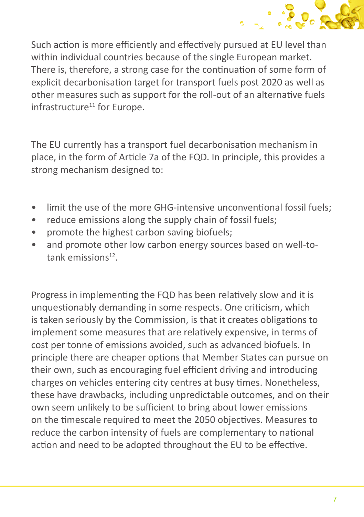

Such action is more efficiently and effectively pursued at EU level than within individual countries because of the single European market. There is, therefore, a strong case for the continuation of some form of explicit decarbonisation target for transport fuels post 2020 as well as other measures such as support for the roll-out of an alternative fuels infrastructure<sup>11</sup> for Europe.

The EU currently has a transport fuel decarbonisation mechanism in place, in the form of Article 7a of the FQD. In principle, this provides a strong mechanism designed to:

- limit the use of the more GHG-intensive unconventional fossil fuels:
- reduce emissions along the supply chain of fossil fuels;
- promote the highest carbon saving biofuels;
- and promote other low carbon energy sources based on well-totank emissions12.

Progress in implementing the FQD has been relatively slow and it is unquestionably demanding in some respects. One criticism, which is taken seriously by the Commission, is that it creates obligations to implement some measures that are relatively expensive, in terms of cost per tonne of emissions avoided, such as advanced biofuels. In principle there are cheaper options that Member States can pursue on their own, such as encouraging fuel efficient driving and introducing charges on vehicles entering city centres at busy times. Nonetheless, these have drawbacks, including unpredictable outcomes, and on their own seem unlikely to be sufficient to bring about lower emissions on the timescale required to meet the 2050 objectives. Measures to reduce the carbon intensity of fuels are complementary to national action and need to be adopted throughout the EU to be effective.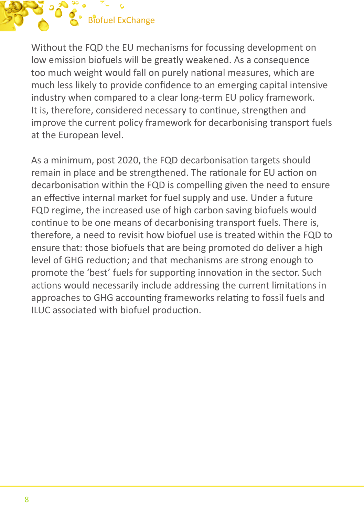

Without the FQD the EU mechanisms for focussing development on low emission biofuels will be greatly weakened. As a consequence too much weight would fall on purely national measures, which are much less likely to provide confidence to an emerging capital intensive industry when compared to a clear long-term EU policy framework. It is, therefore, considered necessary to continue, strengthen and improve the current policy framework for decarbonising transport fuels at the European level.

As a minimum, post 2020, the FQD decarbonisation targets should remain in place and be strengthened. The rationale for EU action on decarbonisation within the FQD is compelling given the need to ensure an effective internal market for fuel supply and use. Under a future FQD regime, the increased use of high carbon saving biofuels would continue to be one means of decarbonising transport fuels. There is, therefore, a need to revisit how biofuel use is treated within the FQD to ensure that: those biofuels that are being promoted do deliver a high level of GHG reduction; and that mechanisms are strong enough to promote the 'best' fuels for supporting innovation in the sector. Such actions would necessarily include addressing the current limitations in approaches to GHG accounting frameworks relating to fossil fuels and ILUC associated with biofuel production.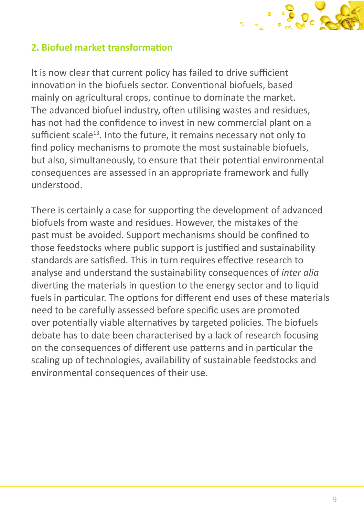

#### **2. Biofuel market transformation**

It is now clear that current policy has failed to drive sufficient innovation in the biofuels sector. Conventional biofuels, based mainly on agricultural crops, continue to dominate the market. The advanced biofuel industry, often utilising wastes and residues, has not had the confidence to invest in new commercial plant on a sufficient scale<sup>13</sup>. Into the future, it remains necessary not only to find policy mechanisms to promote the most sustainable biofuels, but also, simultaneously, to ensure that their potential environmental consequences are assessed in an appropriate framework and fully understood.

There is certainly a case for supporting the development of advanced biofuels from waste and residues. However, the mistakes of the past must be avoided. Support mechanisms should be confined to those feedstocks where public support is justified and sustainability standards are satisfied. This in turn requires effective research to analyse and understand the sustainability consequences of *inter alia* diverting the materials in question to the energy sector and to liquid fuels in particular. The options for different end uses of these materials need to be carefully assessed before specific uses are promoted over potentially viable alternatives by targeted policies. The biofuels debate has to date been characterised by a lack of research focusing on the consequences of different use patterns and in particular the scaling up of technologies, availability of sustainable feedstocks and environmental consequences of their use.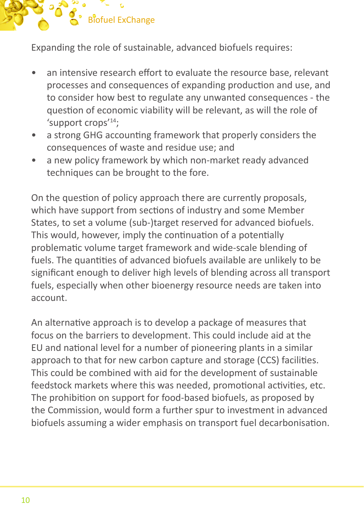

Expanding the role of sustainable, advanced biofuels requires:

- an intensive research effort to evaluate the resource base, relevant processes and consequences of expanding production and use, and to consider how best to regulate any unwanted consequences - the question of economic viability will be relevant, as will the role of 'support crops'<sup>14</sup>;
- a strong GHG accounting framework that properly considers the consequences of waste and residue use; and
- a new policy framework by which non-market ready advanced techniques can be brought to the fore.

On the question of policy approach there are currently proposals, which have support from sections of industry and some Member States, to set a volume (sub-)target reserved for advanced biofuels. This would, however, imply the continuation of a potentially problematic volume target framework and wide-scale blending of fuels. The quantities of advanced biofuels available are unlikely to be significant enough to deliver high levels of blending across all transport fuels, especially when other bioenergy resource needs are taken into account.

An alternative approach is to develop a package of measures that focus on the barriers to development. This could include aid at the EU and national level for a number of pioneering plants in a similar approach to that for new carbon capture and storage (CCS) facilities. This could be combined with aid for the development of sustainable feedstock markets where this was needed, promotional activities, etc. The prohibition on support for food-based biofuels, as proposed by the Commission, would form a further spur to investment in advanced biofuels assuming a wider emphasis on transport fuel decarbonisation.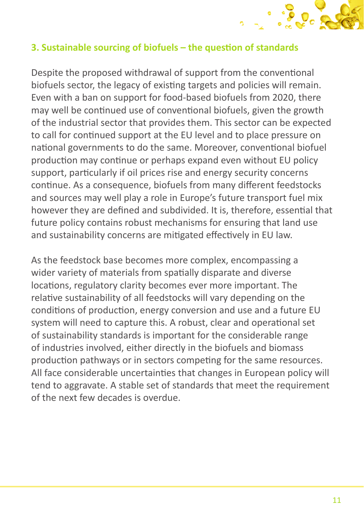

#### **3. Sustainable sourcing of biofuels – the question of standards**

Despite the proposed withdrawal of support from the conventional biofuels sector, the legacy of existing targets and policies will remain. Even with a ban on support for food-based biofuels from 2020, there may well be continued use of conventional biofuels, given the growth of the industrial sector that provides them. This sector can be expected to call for continued support at the EU level and to place pressure on national governments to do the same. Moreover, conventional biofuel production may continue or perhaps expand even without EU policy support, particularly if oil prices rise and energy security concerns continue. As a consequence, biofuels from many different feedstocks and sources may well play a role in Europe's future transport fuel mix however they are defined and subdivided. It is, therefore, essential that future policy contains robust mechanisms for ensuring that land use and sustainability concerns are mitigated effectively in EU law.

As the feedstock base becomes more complex, encompassing a wider variety of materials from spatially disparate and diverse locations, regulatory clarity becomes ever more important. The relative sustainability of all feedstocks will vary depending on the conditions of production, energy conversion and use and a future EU system will need to capture this. A robust, clear and operational set of sustainability standards is important for the considerable range of industries involved, either directly in the biofuels and biomass production pathways or in sectors competing for the same resources. All face considerable uncertainties that changes in European policy will tend to aggravate. A stable set of standards that meet the requirement of the next few decades is overdue.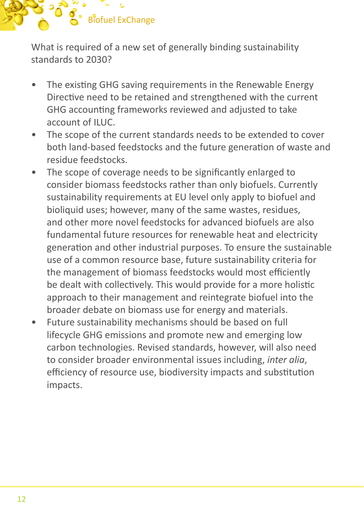

What is required of a new set of generally binding sustainability standards to 2030?

- The existing GHG saving requirements in the Renewable Energy Directive need to be retained and strengthened with the current GHG accounting frameworks reviewed and adjusted to take account of ILUC.
- The scope of the current standards needs to be extended to cover both land-based feedstocks and the future generation of waste and residue feedstocks.
- The scope of coverage needs to be significantly enlarged to consider biomass feedstocks rather than only biofuels. Currently sustainability requirements at EU level only apply to biofuel and bioliquid uses; however, many of the same wastes, residues, and other more novel feedstocks for advanced biofuels are also fundamental future resources for renewable heat and electricity generation and other industrial purposes. To ensure the sustainable use of a common resource base, future sustainability criteria for the management of biomass feedstocks would most efficiently be dealt with collectively. This would provide for a more holistic approach to their management and reintegrate biofuel into the broader debate on biomass use for energy and materials.
- Future sustainability mechanisms should be based on full lifecycle GHG emissions and promote new and emerging low carbon technologies. Revised standards, however, will also need to consider broader environmental issues including, *inter alia*, efficiency of resource use, biodiversity impacts and substitution impacts.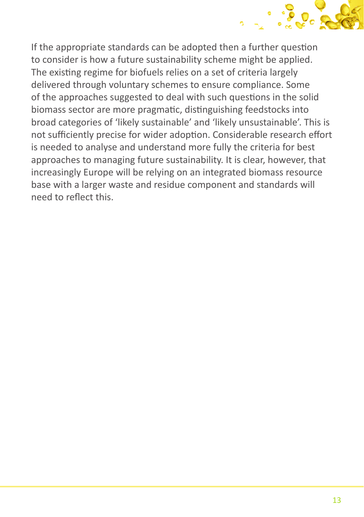

If the appropriate standards can be adopted then a further question to consider is how a future sustainability scheme might be applied. The existing regime for biofuels relies on a set of criteria largely delivered through voluntary schemes to ensure compliance. Some of the approaches suggested to deal with such questions in the solid biomass sector are more pragmatic, distinguishing feedstocks into broad categories of 'likely sustainable' and 'likely unsustainable'. This is not sufficiently precise for wider adoption. Considerable research effort is needed to analyse and understand more fully the criteria for best approaches to managing future sustainability. It is clear, however, that increasingly Europe will be relying on an integrated biomass resource base with a larger waste and residue component and standards will need to reflect this.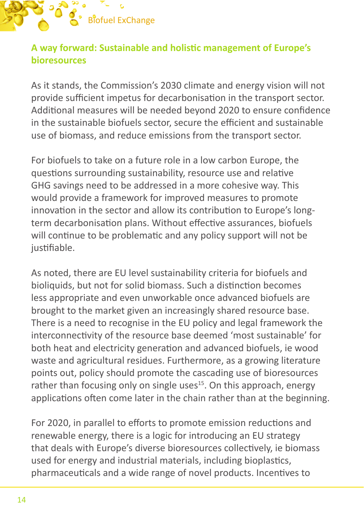

# **A way forward: Sustainable and holistic management of Europe's bioresources**

As it stands, the Commission's 2030 climate and energy vision will not provide sufficient impetus for decarbonisation in the transport sector. Additional measures will be needed beyond 2020 to ensure confidence in the sustainable biofuels sector, secure the efficient and sustainable use of biomass, and reduce emissions from the transport sector.

For biofuels to take on a future role in a low carbon Europe, the questions surrounding sustainability, resource use and relative GHG savings need to be addressed in a more cohesive way. This would provide a framework for improved measures to promote innovation in the sector and allow its contribution to Europe's longterm decarbonisation plans. Without effective assurances, biofuels will continue to be problematic and any policy support will not be justifiable.

As noted, there are EU level sustainability criteria for biofuels and bioliquids, but not for solid biomass. Such a distinction becomes less appropriate and even unworkable once advanced biofuels are brought to the market given an increasingly shared resource base. There is a need to recognise in the EU policy and legal framework the interconnectivity of the resource base deemed 'most sustainable' for both heat and electricity generation and advanced biofuels, ie wood waste and agricultural residues. Furthermore, as a growing literature points out, policy should promote the cascading use of bioresources rather than focusing only on single uses<sup>15</sup>. On this approach, energy applications often come later in the chain rather than at the beginning.

For 2020, in parallel to efforts to promote emission reductions and renewable energy, there is a logic for introducing an EU strategy that deals with Europe's diverse bioresources collectively, ie biomass used for energy and industrial materials, including bioplastics, pharmaceuticals and a wide range of novel products. Incentives to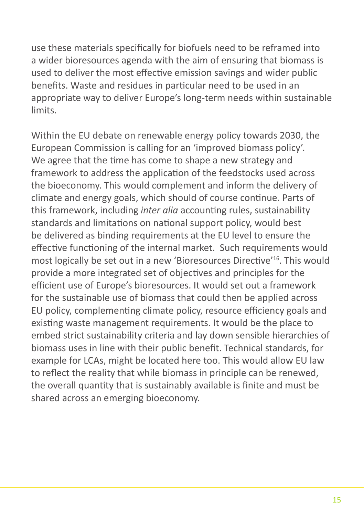use these materials specifically for biofuels need to be reframed into a wider bioresources agenda with the aim of ensuring that biomass is used to deliver the most effective emission savings and wider public benefits. Waste and residues in particular need to be used in an appropriate way to deliver Europe's long-term needs within sustainable limits.

Within the EU debate on renewable energy policy towards 2030, the European Commission is calling for an 'improved biomass policy'. We agree that the time has come to shape a new strategy and framework to address the application of the feedstocks used across the bioeconomy. This would complement and inform the delivery of climate and energy goals, which should of course continue. Parts of this framework, including *inter alia* accounting rules, sustainability standards and limitations on national support policy, would best be delivered as binding requirements at the EU level to ensure the effective functioning of the internal market. Such requirements would most logically be set out in a new 'Bioresources Directive'16. This would provide a more integrated set of objectives and principles for the efficient use of Europe's bioresources. It would set out a framework for the sustainable use of biomass that could then be applied across EU policy, complementing climate policy, resource efficiency goals and existing waste management requirements. It would be the place to embed strict sustainability criteria and lay down sensible hierarchies of biomass uses in line with their public benefit. Technical standards, for example for LCAs, might be located here too. This would allow EU law to reflect the reality that while biomass in principle can be renewed, the overall quantity that is sustainably available is finite and must be shared across an emerging bioeconomy.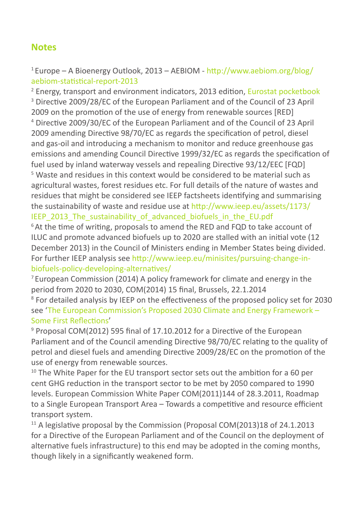#### **Notes**

 $1$ Europe – A Bioenergy Outlook, 2013 – AEBIOM - [http://www.aebiom.org/blog/](http://www.aebiom.org/blog/aebiom-statistical-report-2013/) [aebiom-statistical-report-2013](http://www.aebiom.org/blog/aebiom-statistical-report-2013/)

<sup>2</sup> Energy, transport and environment indicators, 2013 edition, [Eurostat pocketbook](http://epp.eurostat.ec.europa.eu/cache/ITY_OFFPUB/KS-DK-13-001/EN/KS-DK-13-001-EN.PDF) 3 Directive 2009/28/EC of the European Parliament and of the Council of 23 April 2009 on the promotion of the use of energy from renewable sources [RED] 4 Directive 2009/30/EC of the European Parliament and of the Council of 23 April 2009 amending Directive 98/70/EC as regards the specification of petrol, diesel and gas-oil and introducing a mechanism to monitor and reduce greenhouse gas emissions and amending Council Directive 1999/32/EC as regards the specification of fuel used by inland waterway vessels and repealing Directive 93/12/EEC [FQD] 5 Waste and residues in this context would be considered to be material such as agricultural wastes, forest residues etc. For full details of the nature of wastes and residues that might be considered see IEEP factsheets identifying and summarising the sustainability of waste and residue use at [http://www.ieep.eu/assets/1173/](http://www.ieep.eu/assets/1173/IEEP_2013_The_sustainability_of_advanced_biofuels_in_the_EU.pdf) IEEP\_2013\_The\_sustainability\_of\_advanced\_biofuels\_in\_the\_EU.pdf

 $6$ At the time of writing, proposals to amend the RED and FQD to take account of ILUC and promote advanced biofuels up to 2020 are stalled with an initial vote (12 December 2013) in the Council of Ministers ending in Member States being divided. For further IEEP analysis see [http://www.ieep.eu/minisites/pursuing-change-in](http://www.ieep.eu/minisites/pursuing-change-in-biofuels-policy-developing-alternatives/news-and-events/)[biofuels-policy-developing-alternatives/](http://www.ieep.eu/minisites/pursuing-change-in-biofuels-policy-developing-alternatives/news-and-events/)

 $7$  European Commission (2014) A policy framework for climate and energy in the period from 2020 to 2030, COM(2014) 15 final, Brussels, 22.1.2014

8 For detailed analysis by IEEP on the effectiveness of the proposed policy set for 2030 see '[The European Commission's Proposed 2030 Climate and Energy Framework –](http://www.ieep.eu/assets/1322/IEEP_Background_Paper_on_2030.pdf)  [Some First Reflections](http://www.ieep.eu/assets/1322/IEEP_Background_Paper_on_2030.pdf)'

9 Proposal COM(2012) 595 final of 17.10.2012 for a Directive of the European Parliament and of the Council amending Directive 98/70/EC relating to the quality of petrol and diesel fuels and amending Directive 2009/28/EC on the promotion of the use of energy from renewable sources.

 $10$  The White Paper for the EU transport sector sets out the ambition for a 60 per cent GHG reduction in the transport sector to be met by 2050 compared to 1990 levels. European Commission White Paper COM(2011)144 of 28.3.2011, Roadmap to a Single European Transport Area – Towards a competitive and resource efficient transport system.

<sup>11</sup> A legislative proposal by the Commission (Proposal COM(2013)18 of 24.1.2013 for a Directive of the European Parliament and of the Council on the deployment of alternative fuels infrastructure) to this end may be adopted in the coming months, though likely in a significantly weakened form.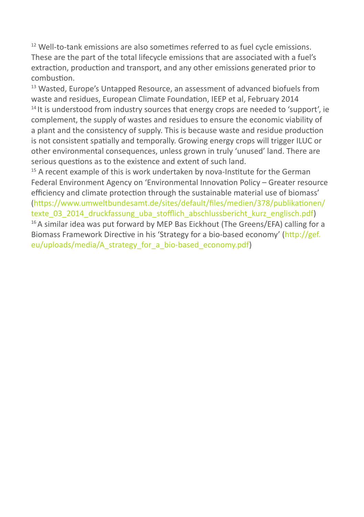$12$  Well-to-tank emissions are also sometimes referred to as fuel cycle emissions. These are the part of the total lifecycle emissions that are associated with a fuel's extraction, production and transport, and any other emissions generated prior to combustion.

<sup>13</sup> Wasted, Europe's Untapped Resource, an assessment of advanced biofuels from waste and residues, European Climate Foundation, IEEP et al, February 2014  $14$ It is understood from industry sources that energy crops are needed to 'support', ie complement, the supply of wastes and residues to ensure the economic viability of a plant and the consistency of supply. This is because waste and residue production is not consistent spatially and temporally. Growing energy crops will trigger ILUC or other environmental consequences, unless grown in truly 'unused' land. There are serious questions as to the existence and extent of such land.

<sup>15</sup> A recent example of this is work undertaken by nova-Institute for the German Federal Environment Agency on 'Environmental Innovation Policy – Greater resource efficiency and climate protection through the sustainable material use of biomass' [\(https://www.umweltbundesamt.de/sites/default/files/medien/378/publikationen/](https://www.umweltbundesamt.de/sites/default/files/medien/378/publikationen/texte_03_2014_druckfassung_uba_stofflich_abschlussbericht_kurz_englisch.pdf) [texte\\_03\\_2014\\_druckfassung\\_uba\\_stofflich\\_abschlussbericht\\_kurz\\_englisch.pdf\)](https://www.umweltbundesamt.de/sites/default/files/medien/378/publikationen/texte_03_2014_druckfassung_uba_stofflich_abschlussbericht_kurz_englisch.pdf)  $16A$  similar idea was put forward by MEP Bas Eickhout (The Greens/EFA) calling for a Biomass Framework Directive in his 'Strategy for a bio-based economy' ([http://gef.](http://gef.eu/uploads/media/A_strategy_for_a_bio-based_economy.pdf) [eu/uploads/media/A\\_strategy\\_for\\_a\\_bio-based\\_economy.pdf](http://gef.eu/uploads/media/A_strategy_for_a_bio-based_economy.pdf))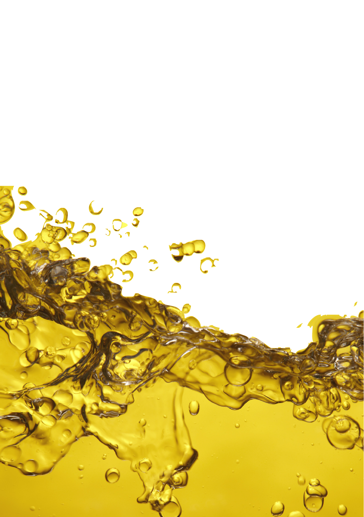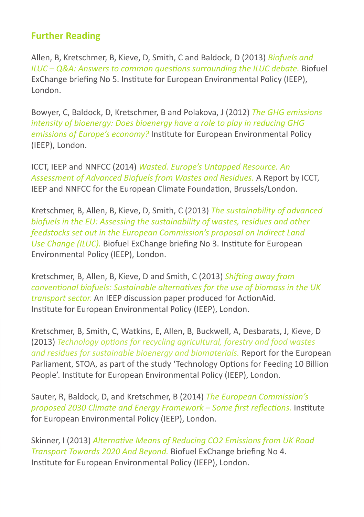#### **Further Reading**

Allen, B, Kretschmer, B, Kieve, D, Smith, C and Baldock, D (2013) *[Biofuels and](http://www.ieep.eu/assets/1204/IEEP_2013_ILUC_Questions_and_Answers.pdf)  [ILUC – Q&A: Answers to common questions surrounding the ILUC debate.](http://www.ieep.eu/assets/1204/IEEP_2013_ILUC_Questions_and_Answers.pdf)* Biofuel ExChange briefing No 5. Institute for European Environmental Policy (IEEP), London.

Bowyer, C, Baldock, D, Kretschmer, B and Polakova, J (2012) *[The GHG emissions](http://www.ieep.eu/assets/1008/IEEP_-_The_GHG_Emissions_Intensity_of_Bioenergy_-_October_2012.pdf)  [intensity of bioenergy: Does bioenergy have a role to play in reducing GHG](http://www.ieep.eu/assets/1008/IEEP_-_The_GHG_Emissions_Intensity_of_Bioenergy_-_October_2012.pdf)  [emissions of Europe's economy?](http://www.ieep.eu/assets/1008/IEEP_-_The_GHG_Emissions_Intensity_of_Bioenergy_-_October_2012.pdf)* Institute for European Environmental Policy (IEEP), London.

ICCT, IEEP and NNFCC (2014) *[Wasted. Europe's Untapped Resource. An](http://europeanclimate.org/wp-content/uploads/2014/02/WASTED-final.pdf)  [Assessment of Advanced Biofuels from Wastes and Residues.](http://europeanclimate.org/wp-content/uploads/2014/02/WASTED-final.pdf)* A Report by ICCT, IEEP and NNFCC for the European Climate Foundation, Brussels/London.

Kretschmer, B, Allen, B, Kieve, D, Smith, C (2013) *[The sustainability of advanced](http://www.ieep.eu/assets/1173/IEEP_2013_The_sustainability_of_advanced_biofuels_in_the_EU.pdf)  [biofuels in the EU: Assessing the sustainability of wastes, residues and other](http://www.ieep.eu/assets/1173/IEEP_2013_The_sustainability_of_advanced_biofuels_in_the_EU.pdf)  [feedstocks set out in the European Commission's proposal on Indirect Land](http://www.ieep.eu/assets/1173/IEEP_2013_The_sustainability_of_advanced_biofuels_in_the_EU.pdf)  [Use Change \(ILUC\).](http://www.ieep.eu/assets/1173/IEEP_2013_The_sustainability_of_advanced_biofuels_in_the_EU.pdf)* Biofuel ExChange briefing No 3. Institute for European Environmental Policy (IEEP), London.

Kretschmer, B, Allen, B, Kieve, D and Smith, C (2013) *[Shifting away from](http://www.ieep.eu/assets/1192/IEEP_May_2013__Shifting_away_from_conventional_biofuels_in_the_UK.pdf)  [conventional biofuels: Sustainable alternatives for the use of biomass in the UK](http://www.ieep.eu/assets/1192/IEEP_May_2013__Shifting_away_from_conventional_biofuels_in_the_UK.pdf)  [transport sector.](http://www.ieep.eu/assets/1192/IEEP_May_2013__Shifting_away_from_conventional_biofuels_in_the_UK.pdf)* An IEEP discussion paper produced for ActionAid. Institute for European Environmental Policy (IEEP), London.

Kretschmer, B, Smith, C, Watkins, E, Allen, B, Buckwell, A, Desbarats, J, Kieve, D (2013) *[Technology options for recycling agricultural, forestry and food wastes](http://www.ieep.eu/assets/1275/Recycling_agricultural_forestry_food_wastes_and_residues_for_sustainable_bioenergy_and_biomaterials_-_report.pdf)  [and residues for sustainable bioenergy and biomaterials.](http://www.ieep.eu/assets/1275/Recycling_agricultural_forestry_food_wastes_and_residues_for_sustainable_bioenergy_and_biomaterials_-_report.pdf)* Report for the European Parliament, STOA, as part of the study 'Technology Options for Feeding 10 Billion People'. Institute for European Environmental Policy (IEEP), London.

Sauter, R, Baldock, D, and Kretschmer, B (2014) *[The European Commission's](http://www.ieep.eu/assets/1322/IEEP_Background_Paper_on_2030.pdf)  [proposed 2030 Climate and Energy Framework – Some first reflections.](http://www.ieep.eu/assets/1322/IEEP_Background_Paper_on_2030.pdf)* Institute for European Environmental Policy (IEEP), London.

Skinner, I (2013) *[Alternative Means of Reducing CO2 Emissions from UK Road](http://www.ieep.eu/assets/1172/IEEP_2013_Alternative_means_of_reducing_CO2_emissions_from_UK_road_transport.pdf)  [Transport Towards 2020 And Beyond.](http://www.ieep.eu/assets/1172/IEEP_2013_Alternative_means_of_reducing_CO2_emissions_from_UK_road_transport.pdf)* Biofuel ExChange briefing No 4. Institute for European Environmental Policy (IEEP), London.